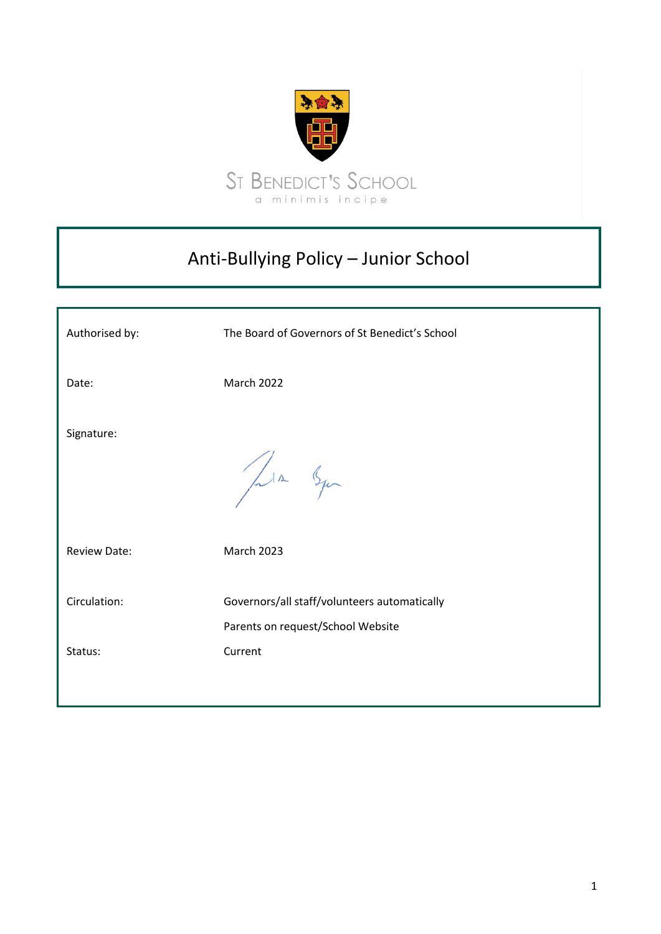

# Anti-Bullying Policy – Junior School

| Authorised by:          | The Board of Governors of St Benedict's School                                               |
|-------------------------|----------------------------------------------------------------------------------------------|
| Date:                   | <b>March 2022</b>                                                                            |
| Signature:              | Jula Squ                                                                                     |
| <b>Review Date:</b>     | <b>March 2023</b>                                                                            |
| Circulation:<br>Status: | Governors/all staff/volunteers automatically<br>Parents on request/School Website<br>Current |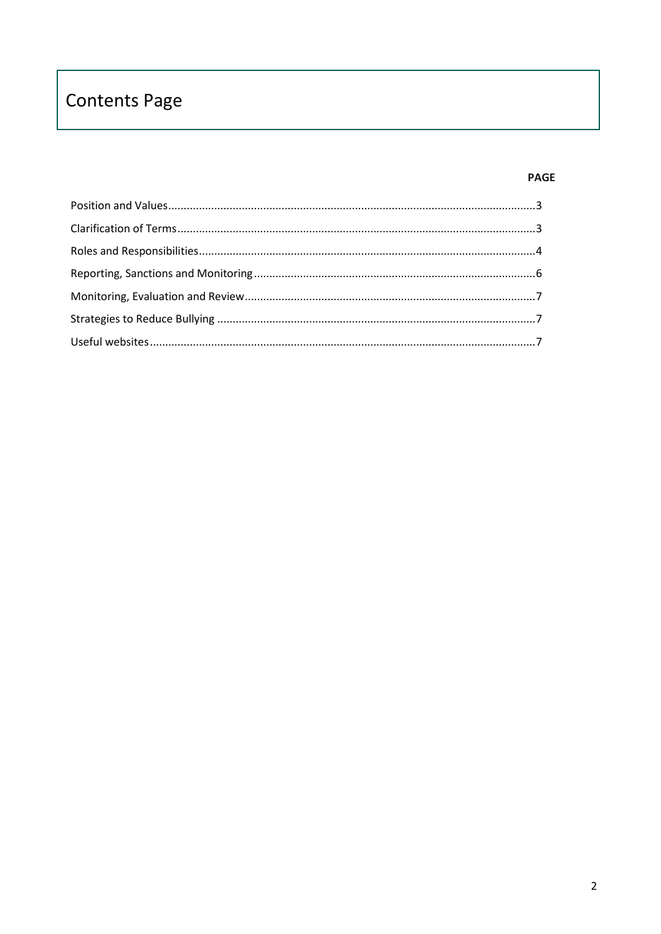# **Contents Page**

# **PAGE**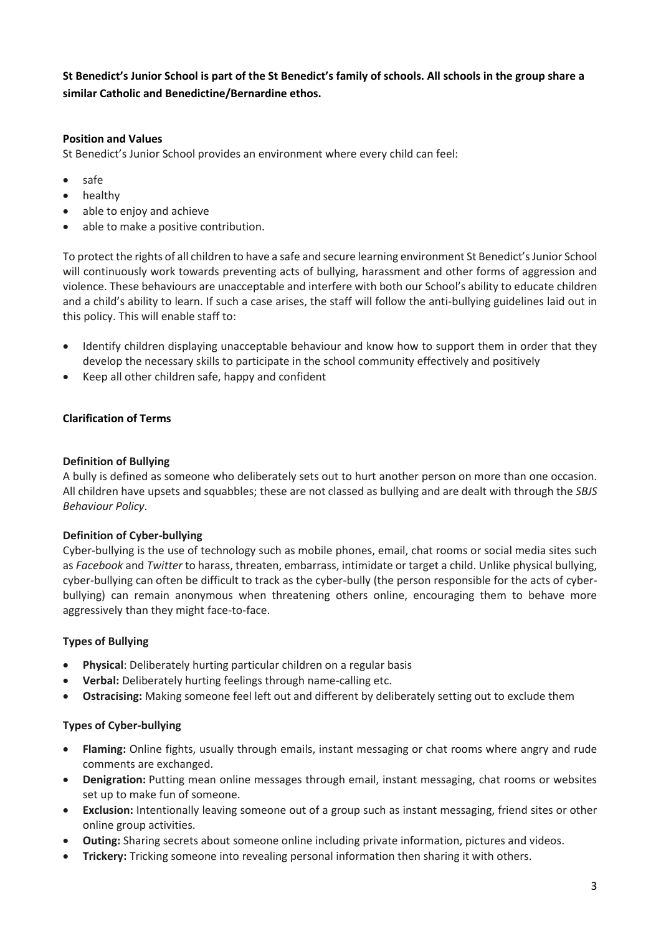**St Benedict's Junior School is part of the St Benedict's family of schools. All schools in the group share a similar Catholic and Benedictine/Bernardine ethos.**

# <span id="page-2-0"></span>**Position and Values**

St Benedict's Junior School provides an environment where every child can feel:

- safe
- healthy
- able to enjoy and achieve
- able to make a positive contribution.

To protect the rights of all children to have a safe and secure learning environment St Benedict's Junior School will continuously work towards preventing acts of bullying, harassment and other forms of aggression and violence. These behaviours are unacceptable and interfere with both our School's ability to educate children and a child's ability to learn. If such a case arises, the staff will follow the anti-bullying guidelines laid out in this policy. This will enable staff to:

- Identify children displaying unacceptable behaviour and know how to support them in order that they develop the necessary skills to participate in the school community effectively and positively
- <span id="page-2-1"></span>• Keep all other children safe, happy and confident

## **Clarification of Terms**

#### **Definition of Bullying**

A bully is defined as someone who deliberately sets out to hurt another person on more than one occasion. All children have upsets and squabbles; these are not classed as bullying and are dealt with through the *SBJS Behaviour Policy*.

#### **Definition of Cyber-bullying**

Cyber-bullying is the use of technology such as mobile phones, email, chat rooms or social media sites such as *Facebook* and *Twitter* to harass, threaten, embarrass, intimidate or target a child. Unlike physical bullying, cyber-bullying can often be difficult to track as the cyber-bully (the person responsible for the acts of cyberbullying) can remain anonymous when threatening others online, encouraging them to behave more aggressively than they might face-to-face.

#### **Types of Bullying**

- **Physical**: Deliberately hurting particular children on a regular basis
- **Verbal:** Deliberately hurting feelings through name-calling etc.
- **Ostracising:** Making someone feel left out and different by deliberately setting out to exclude them

#### **Types of Cyber-bullying**

- **Flaming:** Online fights, usually through emails, instant messaging or chat rooms where angry and rude comments are exchanged.
- **Denigration:** Putting mean online messages through email, instant messaging, chat rooms or websites set up to make fun of someone.
- **Exclusion:** Intentionally leaving someone out of a group such as instant messaging, friend sites or other online group activities.
- **Outing:** Sharing secrets about someone online including private information, pictures and videos.
- **Trickery:** Tricking someone into revealing personal information then sharing it with others.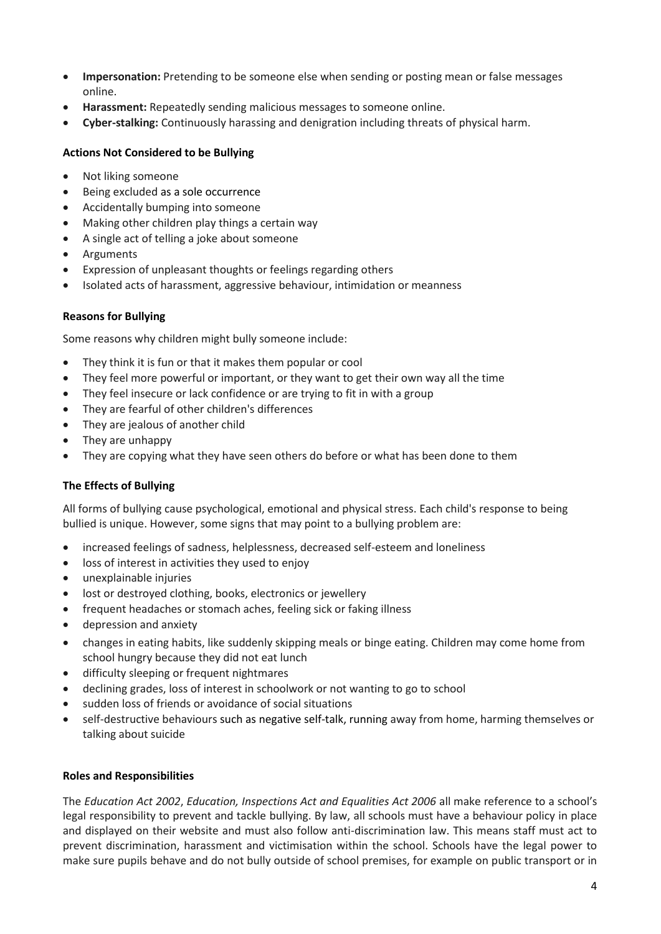- **Impersonation:** Pretending to be someone else when sending or posting mean or false messages online.
- **Harassment:** Repeatedly sending malicious messages to someone online.
- **Cyber-stalking:** Continuously harassing and denigration including threats of physical harm.

## **Actions Not Considered to be Bullying**

- Not liking someone
- Being excluded as a sole occurrence
- Accidentally bumping into someone
- Making other children play things a certain way
- A single act of telling a joke about someone
- Arguments
- Expression of unpleasant thoughts or feelings regarding others
- Isolated acts of harassment, aggressive behaviour, intimidation or meanness

#### **Reasons for Bullying**

Some reasons why children might bully someone include:

- They think it is fun or that it makes them popular or cool
- They feel more powerful or important, or they want to get their own way all the time
- They feel insecure or lack confidence or are trying to fit in with a group
- They are fearful of other children's differences
- They are jealous of another child
- They are unhappy
- They are copying what they have seen others do before or what has been done to them

#### **The Effects of Bullying**

All forms of bullying cause psychological, emotional and physical stress. Each child's response to being bullied is unique. However, some signs that may point to a bullying problem are:

- increased feelings of sadness, helplessness, decreased self-esteem and loneliness
- loss of interest in activities they used to enjoy
- unexplainable injuries
- lost or destroyed clothing, books, electronics or jewellery
- frequent headaches or stomach aches, feeling sick or faking illness
- depression and anxiety
- changes in eating habits, like suddenly skipping meals or binge eating. Children may come home from school hungry because they did not eat lunch
- difficulty sleeping or frequent nightmares
- declining grades, loss of interest in schoolwork or not wanting to go to school
- sudden loss of friends or avoidance of social situations
- self-destructive behaviours such as negative self-talk, running away from home, harming themselves or talking about suicide

#### <span id="page-3-0"></span>**Roles and Responsibilities**

The *Education Act 2002*, *Education, Inspections Act and Equalities Act 2006* all make reference to a school's legal responsibility to prevent and tackle bullying. By law, all schools must have a behaviour policy in place and displayed on their website and must also follow anti-discrimination law. This means staff must act to prevent discrimination, harassment and victimisation within the school. Schools have the legal power to make sure pupils behave and do not bully outside of school premises, for example on public transport or in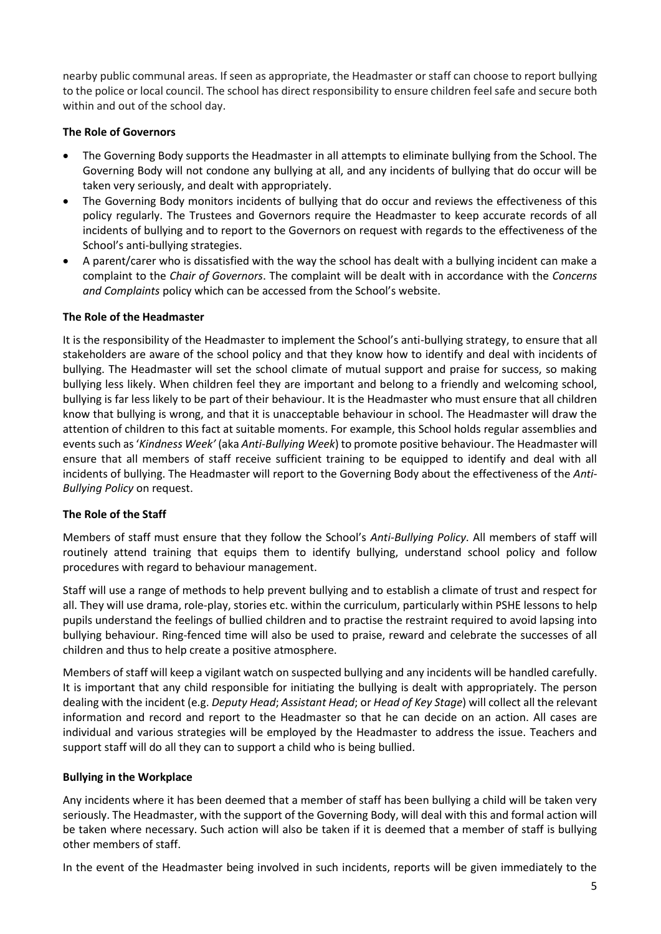nearby public communal areas. If seen as appropriate, the Headmaster or staff can choose to report bullying to the police or local council. The school has direct responsibility to ensure children feel safe and secure both within and out of the school day.

## **The Role of Governors**

- The Governing Body supports the Headmaster in all attempts to eliminate bullying from the School. The Governing Body will not condone any bullying at all, and any incidents of bullying that do occur will be taken very seriously, and dealt with appropriately.
- The Governing Body monitors incidents of bullying that do occur and reviews the effectiveness of this policy regularly. The Trustees and Governors require the Headmaster to keep accurate records of all incidents of bullying and to report to the Governors on request with regards to the effectiveness of the School's anti-bullying strategies.
- A parent/carer who is dissatisfied with the way the school has dealt with a bullying incident can make a complaint to the *Chair of Governors*. The complaint will be dealt with in accordance with the *Concerns and Complaints* policy which can be accessed from the School's website.

## **The Role of the Headmaster**

It is the responsibility of the Headmaster to implement the School's anti-bullying strategy, to ensure that all stakeholders are aware of the school policy and that they know how to identify and deal with incidents of bullying. The Headmaster will set the school climate of mutual support and praise for success, so making bullying less likely. When children feel they are important and belong to a friendly and welcoming school, bullying is far less likely to be part of their behaviour. It is the Headmaster who must ensure that all children know that bullying is wrong, and that it is unacceptable behaviour in school. The Headmaster will draw the attention of children to this fact at suitable moments. For example, this School holds regular assemblies and events such as '*Kindness Week'* (aka *Anti-Bullying Week*) to promote positive behaviour. The Headmaster will ensure that all members of staff receive sufficient training to be equipped to identify and deal with all incidents of bullying. The Headmaster will report to the Governing Body about the effectiveness of the *Anti-Bullying Policy* on request.

# **The Role of the Staff**

Members of staff must ensure that they follow the School's *Anti-Bullying Policy*. All members of staff will routinely attend training that equips them to identify bullying, understand school policy and follow procedures with regard to behaviour management.

Staff will use a range of methods to help prevent bullying and to establish a climate of trust and respect for all. They will use drama, role-play, stories etc. within the curriculum, particularly within PSHE lessons to help pupils understand the feelings of bullied children and to practise the restraint required to avoid lapsing into bullying behaviour. Ring-fenced time will also be used to praise, reward and celebrate the successes of all children and thus to help create a positive atmosphere.

Members of staff will keep a vigilant watch on suspected bullying and any incidents will be handled carefully. It is important that any child responsible for initiating the bullying is dealt with appropriately. The person dealing with the incident (e.g. *Deputy Head*; *Assistant Head*; or *Head of Key Stage*) will collect all the relevant information and record and report to the Headmaster so that he can decide on an action. All cases are individual and various strategies will be employed by the Headmaster to address the issue. Teachers and support staff will do all they can to support a child who is being bullied.

# **Bullying in the Workplace**

Any incidents where it has been deemed that a member of staff has been bullying a child will be taken very seriously. The Headmaster, with the support of the Governing Body, will deal with this and formal action will be taken where necessary. Such action will also be taken if it is deemed that a member of staff is bullying other members of staff.

In the event of the Headmaster being involved in such incidents, reports will be given immediately to the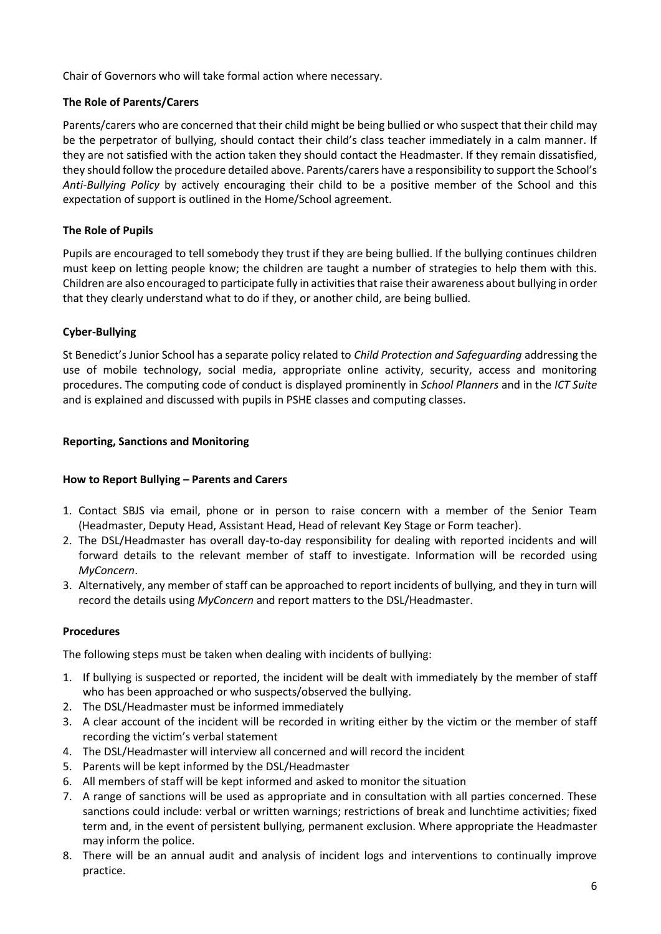Chair of Governors who will take formal action where necessary.

# **The Role of Parents/Carers**

Parents/carers who are concerned that their child might be being bullied or who suspect that their child may be the perpetrator of bullying, should contact their child's class teacher immediately in a calm manner. If they are not satisfied with the action taken they should contact the Headmaster. If they remain dissatisfied, they should follow the procedure detailed above. Parents/carers have a responsibility to support the School's *Anti-Bullying Policy* by actively encouraging their child to be a positive member of the School and this expectation of support is outlined in the Home/School agreement.

# **The Role of Pupils**

Pupils are encouraged to tell somebody they trust if they are being bullied. If the bullying continues children must keep on letting people know; the children are taught a number of strategies to help them with this. Children are also encouraged to participate fully in activities that raise their awareness about bullying in order that they clearly understand what to do if they, or another child, are being bullied.

## **Cyber-Bullying**

St Benedict's Junior School has a separate policy related to *Child Protection and Safeguarding* addressing the use of mobile technology, social media, appropriate online activity, security, access and monitoring procedures. The computing code of conduct is displayed prominently in *School Planners* and in the *ICT Suite* and is explained and discussed with pupils in PSHE classes and computing classes.

## <span id="page-5-0"></span>**Reporting, Sanctions and Monitoring**

# **How to Report Bullying – Parents and Carers**

- 1. Contact SBJS via email, phone or in person to raise concern with a member of the Senior Team (Headmaster, Deputy Head, Assistant Head, Head of relevant Key Stage or Form teacher).
- 2. The DSL/Headmaster has overall day-to-day responsibility for dealing with reported incidents and will forward details to the relevant member of staff to investigate. Information will be recorded using *MyConcern*.
- 3. Alternatively, any member of staff can be approached to report incidents of bullying, and they in turn will record the details using *MyConcern* and report matters to the DSL/Headmaster.

#### **Procedures**

The following steps must be taken when dealing with incidents of bullying:

- 1. If bullying is suspected or reported, the incident will be dealt with immediately by the member of staff who has been approached or who suspects/observed the bullying.
- 2. The DSL/Headmaster must be informed immediately
- 3. A clear account of the incident will be recorded in writing either by the victim or the member of staff recording the victim's verbal statement
- 4. The DSL/Headmaster will interview all concerned and will record the incident
- 5. Parents will be kept informed by the DSL/Headmaster
- 6. All members of staff will be kept informed and asked to monitor the situation
- 7. A range of sanctions will be used as appropriate and in consultation with all parties concerned. These sanctions could include: verbal or written warnings; restrictions of break and lunchtime activities; fixed term and, in the event of persistent bullying, permanent exclusion. Where appropriate the Headmaster may inform the police.
- 8. There will be an annual audit and analysis of incident logs and interventions to continually improve practice.